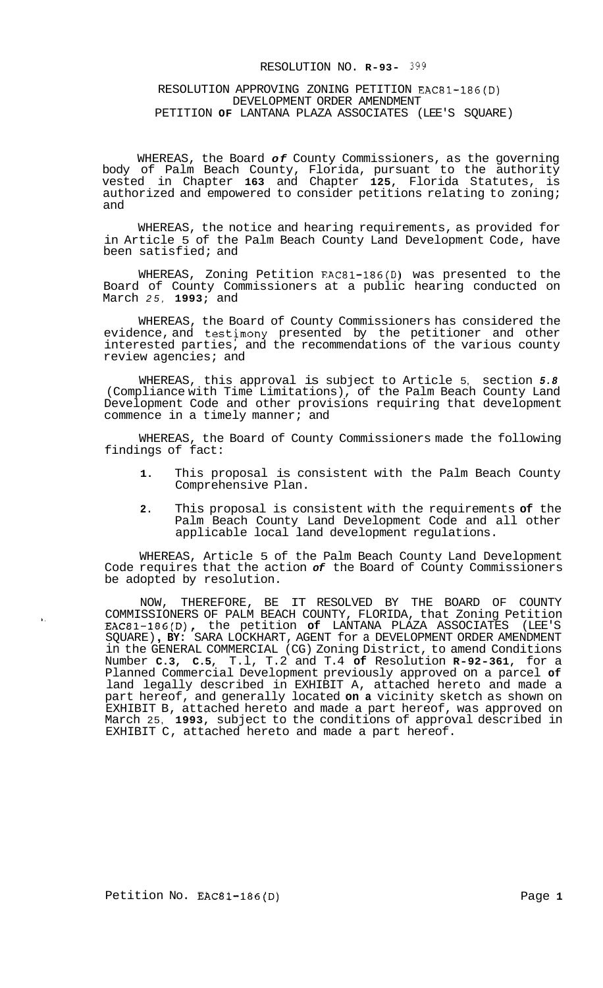#### RESOLUTION NO. **R-93-** 399

### RESOLUTION APPROVING ZONING PETITION EAC81-186(D) DEVELOPMENT ORDER AMENDMENT PETITION **OF** LANTANA PLAZA ASSOCIATES (LEE'S SQUARE)

WHEREAS, the Board *of* County Commissioners, as the governing body of Palm Beach County, Florida, pursuant to the authority vested in Chapter **163** and Chapter **125,** Florida Statutes, is authorized and empowered to consider petitions relating to zoning; and

WHEREAS, the notice and hearing requirements, as provided for in Article 5 of the Palm Beach County Land Development Code, have been satisfied; and

WHEREAS, Zoning Petition EAC81-186(D) was presented to the Board of County Commissioners at a public hearing conducted on March *25,* **1993;** and

WHEREAS, the Board of County Commissioners has considered the evidence, and testimony presented by the petitioner and other interested parties, and the recommendations of the various county review agencies; and

WHEREAS, this approval is subject to Article 5, section *5.8*  (Compliance with Time Limitations), of the Palm Beach County Land Development Code and other provisions requiring that development commence in a timely manner; and

WHEREAS, the Board of County Commissioners made the following findings of fact:

- **1.** This proposal is consistent with the Palm Beach County Comprehensive Plan.
- **2.** This proposal is consistent with the requirements **of** the Palm Beach County Land Development Code and all other applicable local land development regulations.

WHEREAS, Article 5 of the Palm Beach County Land Development Code requires that the action *of* the Board of County Commissioners be adopted by resolution.

NOW, THEREFORE, BE IT RESOLVED BY THE BOARD OF COUNTY COMMISSIONERS OF PALM BEACH COUNTY, FLORIDA, that Zoning Petition EAC81-186(D), the petition **of** LANTANA PLAZA ASSOCIATES (LEE'S SQUARE) , **BY:** SARA LOCKHART, AGENT for a DEVELOPMENT ORDER AMENDMENT in the GENERAL COMMERCIAL (CG) Zoning District, to amend Conditions Number **C.3, C.5,** T.l, T.2 and T.4 **of** Resolution **R-92-361,** for a Planned Commercial Development previously approved on a parcel **of**  land legally described in EXHIBIT A, attached hereto and made a part hereof, and generally located **on a** vicinity sketch as shown on EXHIBIT B, attached hereto and made a part hereof, was approved on March 25, **1993,** subject to the conditions of approval described in EXHIBIT C, attached hereto and made a part hereof.

 $\hat{\mathbf{r}}$  .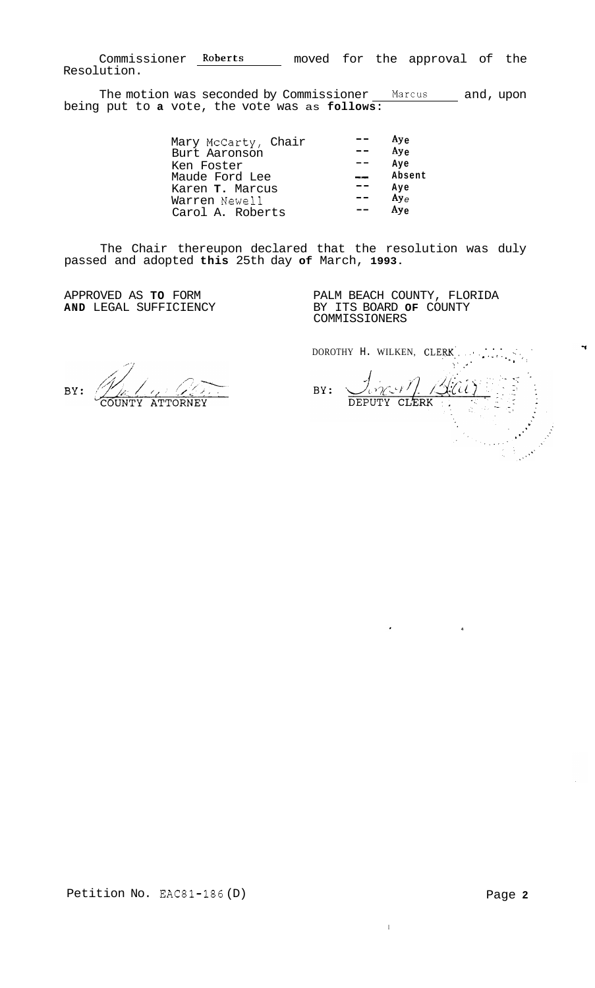Commissioner **Roberts** moved for the approval of the Resolution.

The motion was seconded by Commissioner Marcus and, upon being put to **a** vote, the vote was as **follows:** 

| Mary McCarty, Chair<br>Burt Aaronson | $Ay_{\theta}$<br>Ay <sub>e</sub> |
|--------------------------------------|----------------------------------|
| Ken Foster                           | Ave                              |
| Maude Ford Lee                       | Absent                           |
| Karen T. Marcus                      | Aye                              |
| Warren Newell                        | Ay <sub>e</sub>                  |
| Carol A. Roberts                     | Ay <sub>e</sub>                  |
|                                      |                                  |

The Chair thereupon declared that the resolution was duly passed and adopted **this** 25th day **of** March, **1993.** 

APPROVED AS **TO** FORM **AND** LEGAL SUFFICIENCY

PALM BEACH COUNTY, FLORIDA BY ITS BOARD **OF** COUNTY COMMISSIONERS

BY: ATTORNEY

DOROTHY H. WILKEN, CLEW'. , . ' , -, ... . ,  $\mathbf{R}\mathbf{K}$  . In the set of  $\mathbf{K}$  is  $\mathbf{K}$  $\mathcal{L}_{\mathcal{F}}$  $\mathcal{M}_{\mathcal{K}}$ '! , **<sup>I</sup>** Time M. Biti  $BY:$ DEPUTY CLERK

 $\mathbf{H}$ 

**4** 

**I**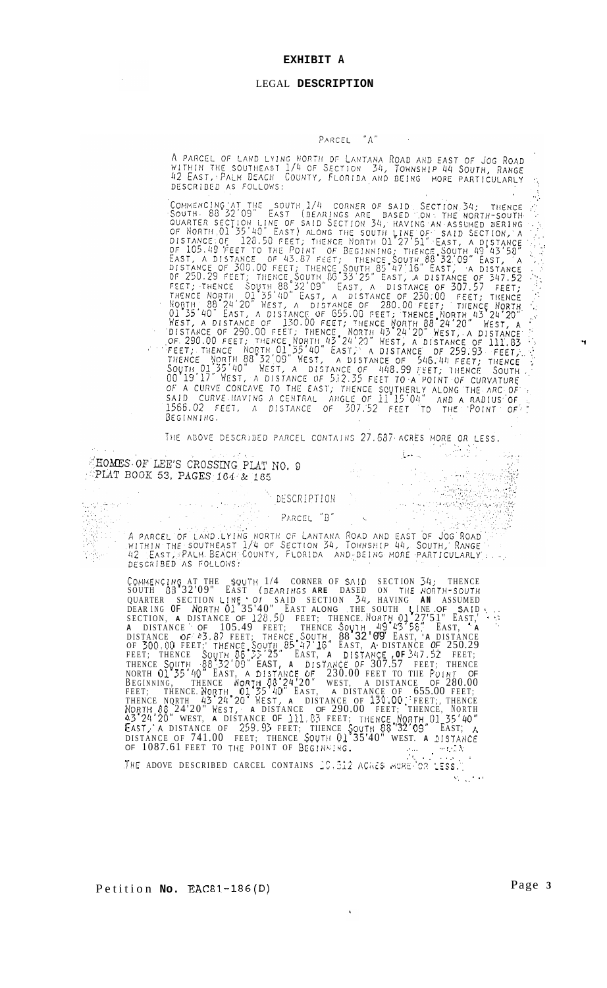#### LEGAL **DESCRIPTION**

# PARCEL "A"

A PARCEL OF LAND LYING NORTH OF LANTANA ROAD AND EAST OF JOG ROAD<br>WITHIN THE SOUTHEAST 1/4 OF SECTION 34, TOWNSHIP 44 SOUTH, RANGE<br>42 EAST, PALM BEACH COUNTY, FLORIDA AND BEING MORE PARTICULARLY DESCRIBED AS FOLLOWS:

DESCRIBED AS FOLLOWS:<br>
COMMENCING AT THE ESOTY (DEARINGS ARE DASED ON THE NORTH-BOTH<br>
SOUTH 180 27 TOR ESOTY (DEARINGS ARE DASED ON THE NORTH-SOUTHER<br>
OF NORTH 01 35 400 EAST) ALONG THE SOUTH (1HE OF 2013 CETION), A<br>
DISTA BEGINNING.

THE ABOVE DESCRIBED PARCEL CONTAINS 27.687 ACRES MORE OR LESS. - 오시아 201

HOMES OF LEE'S CROSSING PLAT NO. 9<br>PLAT BOOK 53, PAGES 164 & 165

 $\label{eq:1} \mathcal{L}(\mathcal{A}) \leq \mathcal{L}(\mathcal{A}) \leq \mathcal{L}(\mathcal{A}) \leq \mathcal{L}(\mathcal{A}) \leq \mathcal{L}(\mathcal{A}) \leq \mathcal{L}(\mathcal{A}) \leq \mathcal{L}(\mathcal{A})$ 

# DESCRIPTION

#### PARCEL "B"

A PARCEL OF LAND LYING NORTH OF LANTANA ROAD AND EAST OF JOG ROAD<br>WITHIN THE SOUTHEAST 1/4 OF SECTION 34, TOWNSHIP 44, SOUTH, RANGE<br>42 EAST, PALM BEACH COUNTY, FLORIDA AND DEING MORE PARTICULARLY

> COMMENCING AT THE SOUTH 1/4 CORNER OF SAID SECTION 34; THENCE SOUTH 88 32'09 " E <sup>A</sup> S T (DEARIEIGS **ARE** DASED ON TllE NORTH-SOUTH QUARTER SECTION LINE OF SAID SECTION 34, HAVING AN ASSUMED DEAR ING OF NORTH 01 35'40" EAST ALONG THE SOUTH LINE OF SAID ... SECTION, A DISTANCE OF 128.50 FEET; THENCE NORTH 01 2751" EAST, A<br>A DISTANCE OF 105.49 FEET; THENCE SOUTH 49 43'58" EAST, A<br>DISTANCE OF 43.87 FEET; THENCE SOUTH, 88 32'09" EAST, A DISTANCE OF 300.00 FEET;' THENCE,SOYTil,,05 <sup>117</sup>16" <sup>E</sup> AST , **A.** DISTANCE *OF* 250.29 FEET; THENCE SOldTH 86 *33* 25 E AST, **A** D[STANCE **,OF** 3117.52 FEET; THENCE SQUTH .88 .32'09" EAST, **A** DISTA,NCE *OF* 307.57 FEET; THENCE NORTH 01 *35'40''* <sup>E</sup> AST , A DISTOIICE *Ot* 230.00 FEET TO TIIE POINT OF BEGINNING, THENCE NORTH  $88.24$  20" WEST, A DISTANCE OF  $280.00$ FEET; THENCE NORTH, 01'35'40" EAST, A DISTANCE OF 655.00 FEET;<br>THENCE NORTH 43'24'20" WEST, A DISTANCE OF 130.00 : FEET;, THENCE NO~TH 88 24'20 " HEST; **A** DISTANCE OF 290.00 FEET; THENCE, N ORTH (13 *24'20"* WEST, **A** DISTANCE OF 111,83 FEET; TUENCE.NO?TH,,OI 35'40" **EASY,.'A** DISTANCE OF *259.93* FEET; TIIENCE \$OUTtl 86 '32 09 EAST; **<sup>A</sup>** DISTANCE OF 741.00 FEET; THENCE SOUTII 01 35'40" WEST. **A** DISTANCE OF 1087.61 FEET TO THE POINT OF BEGINNING.

THE ADOVE DESCRIBED CARCEL CONTAINS 10.512 ACRES MORE OR 15SS. **L,** (. ' 'I **Y** 

o Ving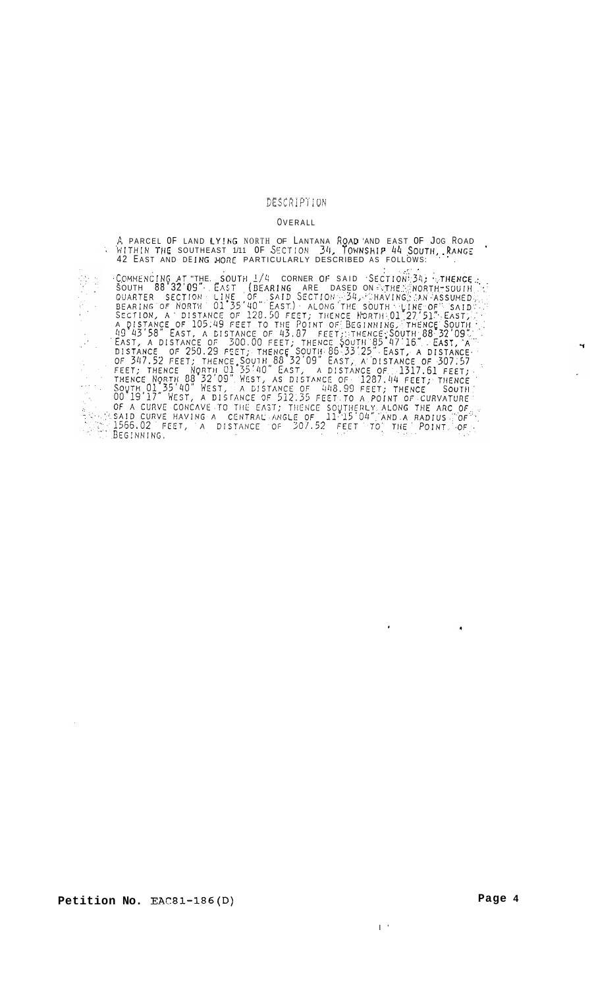# DESCR!PTION

#### **OVERALL**

*A* PARCEL OF LAND LY!NG NORTH OF LANTANA ROAD 'AND EAST OF JOG ROAD WITHIN THE SOUTHEAST 1/11 OF SECTION 34, IOWNSHIP 44 SOUTH, RANGE 42 EAST AND DEING MORE PARTICULARLY DESCRIBED AS FOLLOWS: ' '.

:. . **,i'** ' ~C.OkiMENdlN~ AT "THE. SOUTiI l/G CORNER *01:* SAID .SECTION(.34; '.,THENCE .:, SOUTH 88 32 09". EAST (BEARING ARE DASED ON ITHE.:NORTH-SOU

 $\bar{\Gamma}^{-1}$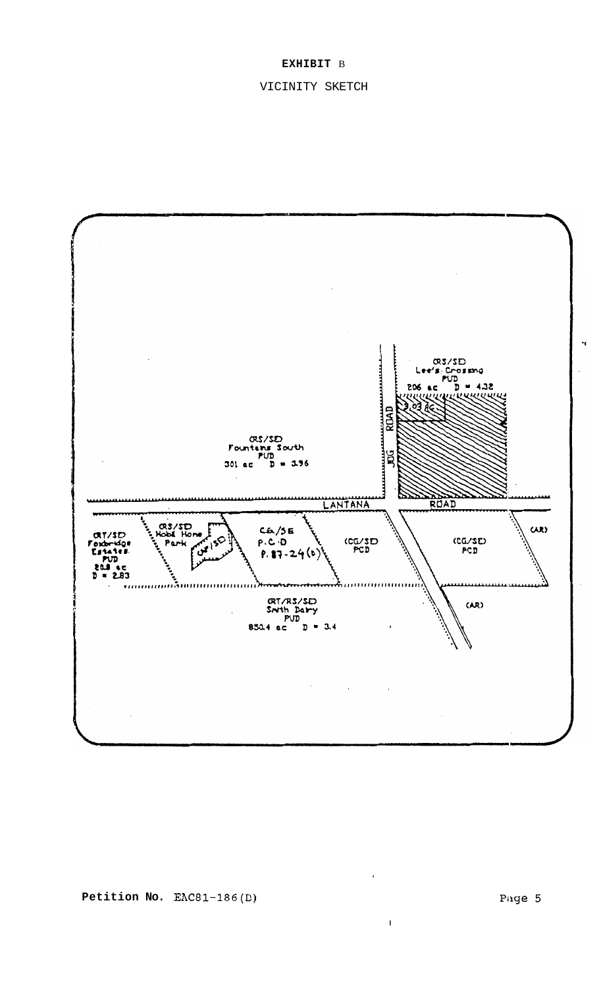# **EXHIBIT** B

# VICINITY SKETCH



I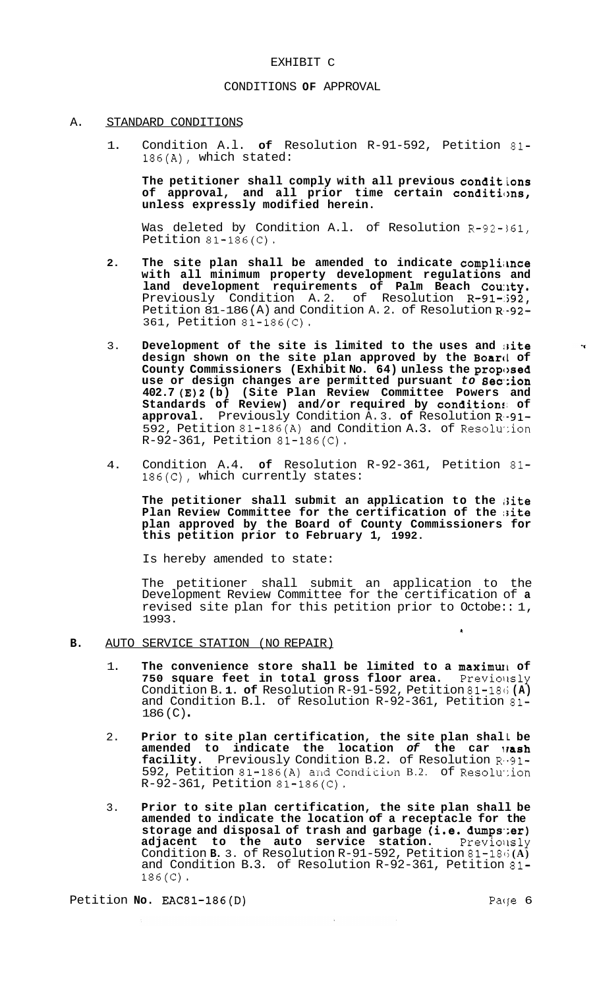#### EXHIBIT C

#### CONDITIONS **OF** APPROVAL

#### A. STANDARD CONDITIONS

1. Condition A.l. **of** Resolution R-91-592, Petition 81- 186(A), which stated:

**The petitioner shall comply with all previous conditions of approval, and all prior time certain conditions, unless expressly modified herein.** 

Was deleted by Condition A.l. of Resolution R-92-361, Petition  $81 - 186$  (C).

- **2. The site plan shall be amended to indicate compliiknce with all minimum property development regulations and land development requirements of Palm Beach Cou:ity.**  Previously Condition A.2. of Resolution R-91-592, Petition 81-186 (A) and Condition A. 2. of Resolution R-92-361, Petition 81-186(C).
- 3. Development of the site is limited to the uses and site design shown on the site plan approved by the Board of County Commissioners (Exhibit No. 64) unless the proposed **use or design changes are permitted pursuant** *to* **Sec,:ion 402.7 (E)2 (b) (Site Plan Review Committee Powers and Standards of Review) and/or required by conditions; of approval.** Previously Condition A. 3. **of** Resolution R,-91- 592, Petition 81-186(A) and Condition A.3. of Resolution R-92-361, Petition 81-186(C).
- 4. Condition A.4. **of** Resolution R-92-361, Petition 81- 186(C), which currently states:

**The petitioner shall submit an application to the i3ite Plan Review Committee for the certification of the site plan approved by the Board of County Commissioners for this petition prior to February 1, 1992.** 

Is hereby amended to state:

The petitioner shall submit an application to the Development Review Committee for the certification of **a**  revised site plan for this petition prior to Octobe:: 1, 1993.

- **B.** AUTO SERVICE STATION (NO REPAIR)
	- 1. The convenience store shall be limited to a maximun of **750 square feet in total gross floor area.** Previously Condition B. **1. of** Resolution R-91-592, Petition 81-181; **(A)**  and Condition B.l. of Resolution R-92-361, Petition 81- 186 (C) .
	- 2. **Prior to site plan certification, the site plan shall be amended to indicate the location** *of* **the car 1rash facility.** Previously Condition B.2. of Resolution Re91-592, Petition 81-186(A) and Condition B.2. of Resolution R-92-361, Petition 81-186(C).
	- 3. **Prior to site plan certification, the site plan shall be amended to indicate the location of a receptacle for the storage and disposal of trash and garbage (i.e. dumps\*;er) adjacent to the auto service station.** Previollsly Condition **B.** 3. of Resolution R-91-592, Petition 81-181, **(A)**  and Condition B.3. of Resolution R-92-361, Petition 81- 186(C).

Petition **No. EAC81-186(D)** Packers Packers Packers Packers Packers Packers Packers Packers Packers Packers Packers A

**4** 

 $\mathbf{r}$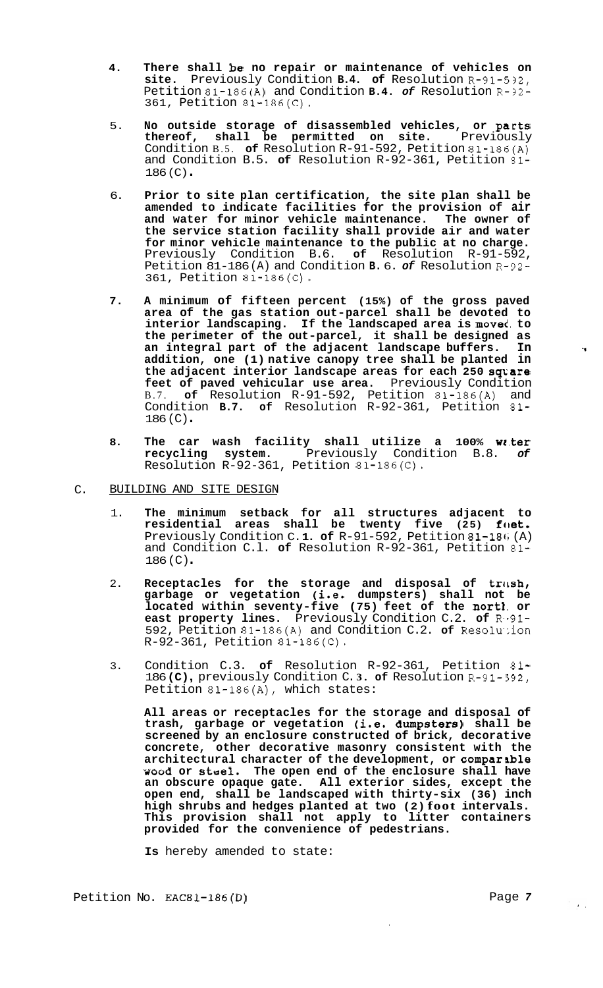- **4. There shall be no repair or maintenance of vehicles on site.** Previously Condition **B.4. of** Resolution R-91-532, Petition 81-186(A) and Condition **B.4.** *of* Resolution R-32- 361, Petition 81-186(C).
- 5. **No outside storage of disassembled vehicles, or parts thereof, shall be permitted on site.** Previously Condition B.5. **of** Resolution R-91-592, Petition 81-186(A) and Condition B.5. **of** Resolution R-92-361, Petition 51- 186 (C) .
- 6. **Prior to site plan certification, the site plan shall be amended to indicate facilities for the provision of air and water for minor vehicle maintenance. The owner of the service station facility shall provide air and water for minor vehicle maintenance to the public at no charge.**  Previously Condition B.6. **of** Resolution R-91-592, Petition 81-186 (A) and Condition **B.** 6. *of* Resolution R-92- 361, Petition 81-186(C).
- **7. A minimum of fifteen percent (15%) of the gross paved area of the gas station out-parcel shall be devoted to interior landscaping. If the landscaped area is move<, to the perimeter of the out-parcel, it shall be designed as an integral part of the adjacent landscape buffers. In addition, one (1) native canopy tree shall be planted in the adjacent interior landscape areas for each 250 sqtare**  feet of paved vehicular use area. Previously Condition B.7. **of** Resolution R-91-592, Petition 81-186(A) and Condition **B.7. of** Resolution R-92-361, Petition 81-  $186 (C)$ .
- **8. The car wash facility shall utilize a 100% wz.ter recycling system.** Previously Condition B.8. *of*  Resolution  $R-92-361$ , Petition  $81-186$  (C).
- $\mathcal{C}$ . BUILDING AND SITE DESIGN
	- 1. **The minimum setback for all structures adjacent to residential areas shall be twenty five (25) foet.** Previously Condition C. **1. of** R-91-592, Petition 81-18(; (A) and Condition C.l. **of** Resolution R-92-361, Petition 81-  $186 (C)$ .
	- 2. Receptacles for the storage and disposal of trash,<br>garbage or vegetation (i.e. dumpsters) shall not be located within seventy-five (75) feet of the nortle or **east property lines.** Previously Condition C.2. **of** R--91- 592, Petition 81-186(A) and Condition C.2. **of** Reso1u':ion R-92-361, Petition 81-186(C).
	- 3. Condition C.3. **of** Resolution R-92-361, Petition **81-**  <sup>186</sup>**(C)** , previously Condition C. **3. of** Resolution R-91- 592, Petition 81-186(A), which states:

**All areas or receptacles for the storage and disposal of**  trash, garbage or vegetation (i.e. dumpsters) shall be **screened by an enclosure constructed of brick, decorative concrete, other decorative masonry consistent with the architectural character of the development, or comparsble wood or steel. The open end of the enclosure shall have an obscure opaque gate. All exterior sides, except the open end, shall be landscaped with thirty-six (36) inch high shrubs and hedges planted at two (2) foot intervals. This provision shall not apply to litter containers provided for the convenience of pedestrians.** 

 $\mathbf{I}$ 

**Is** hereby amended to state:

Petition No. EAC81-186(D) Page 7

 $\label{eq:2} \frac{1}{\sqrt{2}}\sum_{i=1}^n\frac{1}{\sqrt{2}}\sum_{i=1}^n\frac{1}{\sqrt{2}}\sum_{i=1}^n\frac{1}{\sqrt{2}}\sum_{i=1}^n\frac{1}{\sqrt{2}}\sum_{i=1}^n\frac{1}{\sqrt{2}}\sum_{i=1}^n\frac{1}{\sqrt{2}}\sum_{i=1}^n\frac{1}{\sqrt{2}}\sum_{i=1}^n\frac{1}{\sqrt{2}}\sum_{i=1}^n\frac{1}{\sqrt{2}}\sum_{i=1}^n\frac{1}{\sqrt{2}}\sum_{i=1}^n\frac{1$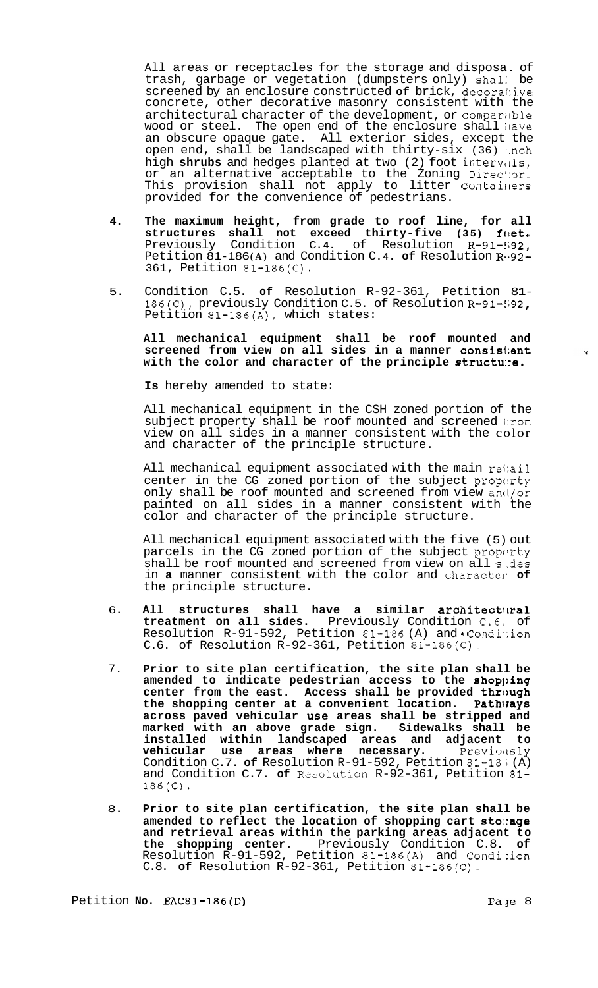All areas or receptacles for the storage and disposal of<br>trash, garbage or vegetation (dumpsters only) shall be trash, garbage or vegetation (dumpsters only) shall screened by an enclosure constructed **of** brick, decora1:ive concrete, other decorative masonry consistent with the architectural character of the development, or comparable wood or steel. The open end of the enclosure shall ]lave an obscure opaque gate. All exterior sides, except the open end, shall be landscaped with thirty-six (36) anch high **shrubs** and hedges planted at two (2) foot intervals, or an alternative acceptable to the Zoning Direc1:or. This provision shall not apply to litter contailiers provided for the convenience of pedestrians.

- **4. The maximum height, from grade to roof line, for all structures** shall not exceed thirty-five (35)  $f$ **(et.** Previously Condition C. **4.** of Resolution R-91-!;92, Petition 81-186 **(A)** and Condition C. **4. of** Resolution R-.92- 361, Petition 81-186(C).
- 5. Condition C.5. **of** Resolution R-92-361, Petition 81- 186(C), previously Condition C.5. of Resolution R-91-!192, Petition 81-186(A), which states:

### **All mechanical equipment shall be roof mounted and screened from view on all sides in a manner consis1;ent with the color and character of the principle structu::e.**

**Is** hereby amended to state:

All mechanical equipment in the CSH zoned portion of the subject property shall be roof mounted and screened irom view on all sides in a manner consistent with the color and character **of** the principle structure.

All mechanical equipment associated with the main re1:ail center in the CG zoned portion of the subject proparty only shall be roof mounted and screened from view ancl/or painted on all sides in a manner consistent with the color and character of the principle structure.

All mechanical equipment associated with the five (5) out parcels in the CG zoned portion of the subject property shall be roof mounted and screened from view on all s:.des in **a** manner consistent with the color and charactel' **of**  the principle structure.

- 6. All structures shall have a similar architectural **treatment on all sides.** Previously Condition C.6, of Resolution R-91-592, Petition 81-186 (A) and Condi':ion C.6. of Resolution R-92-361, Petition 81-186(C).
- 7. **Prior to site plan certification, the site plan shall be amended to indicate pedestrian access to the shopljing center from the east. Access shall be provided through the shopping center at a convenient location. Pathlrays across paved vehicular us8 areas shall be stripped and marked with an above grade sign. Sidewalks shall be installed within landscaped areas and adjacent to vehicular use areas where necessary.** Previously vehicular use areas where necessary. Previously Condition C.7. of Resolution R-91-592, Petition 81-181; (A) and Condition C.7. of Resolution R-92-361, Petition 81-186(C).
- 8. **Prior to site plan certification, the site plan shall be amended to reflect the location of shopping cart sto::age and retrieval areas within the parking areas adjacent to the shopping center.** Previously Condition C.8. **of**  Resolution R-91-592, Petition 81-186(A) and Condi,:ion C.8. **of** Resolution R-92-361, Petition 81-186(C).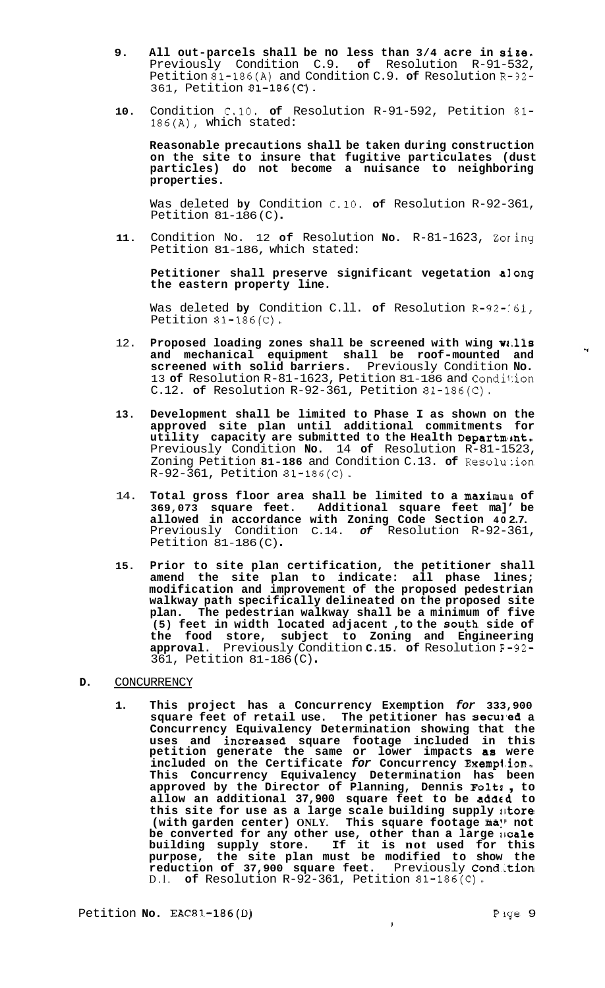- **9. All out-parcels shall be no less than 3/4 acre in size.**  Previously Condition C.9. **of** Resolution R-91-532, Petition 81-186(A) and Condition C.9. **of** Resolution R-32- 361, Petition 81-186(C').
- **10.** Condition C.10. **of** Resolution R-91-592, Petition 81- 186(A), which stated:

**Reasonable precautions shall be taken during construction on the site to insure that fugitive particulates (dust particles) do not become a nuisance to neighboring properties.** 

Was deleted **by** Condition C.10. **of** Resolution R-92-361, Petition 81-186 (C) .

**11.** Condition No. 12 **of** Resolution **No.** R-81-1623, Zoring Petition 81-186, which stated:

**Petitioner shall preserve significant vegetation along the eastern property line.** 

Was deleted by Condition C.11. of Resolution R-92-161, Petition  $81 - 186$  (C).

- 12. Proposed loading zones shall be screened with wing Walls **and mechanical equipment shall be roof-mounted and screened with solid barriers.** Previously Condition **No.**  13 of Resolution R-81-1623, Petition 81-186 and Condition C.12. **of** Resolution R-92-361, Petition 81-186(C).
- **13. Development shall be limited to Phase I as shown on the approved site plan until additional commitments for**  utility capacity are submitted to the Health Department. Previously Condition **No.** 14 **of** Resolution R-81-1523, Zoning Petition **81-186** and Condition C.13. **of** Resolu-ion R-92-361, Petition 81-186(C).
- 14. **Total gross floor area shall be limited to a maximun of 369,073 square feet. Additional square feet ma]' be allowed in accordance with Zoning Code Section 40 2.7.**  Previously Condition C.14. *of* Resolution R-92-361, Petition 81-186 (C) .
- **15. Prior to site plan certification, the petitioner shall amend the site plan to indicate: all phase lines; modification and improvement of the proposed pedestrian walkway path specifically delineated on the proposed site plan. The pedestrian walkway shall be a minimum of five**  (5) feet in width located adjacent , to the south side of **the food store, subject to Zoning and Engineering approval.** Previously Condition **C.15. of** Resolution F-92- 361, Petition 81-186 (C) .
- **D.** CONCURRENCY
	- **1. This project has a Concurrency Exemption** *for* **333,900**  square feet of retail use. The petitioner has secured a **Concurrency Equivalency Determination showing that the**  uses and increased square footage included in this **petition generate the same or lower impacts a8 were included on the Certificate** *for* **Concurrency Exempl.ian. This Concurrency Equivalency Determination has been**  approved by the Director of Planning, Dennis Folt<sub>7</sub>, to **allow an additional 37,900 square feet to be addtd to this site for use as a large scale building supply rltore (with garden center) ONLY. This square footage ma:' not be converted for any other use, other than a large rlcale building supply store. If it is not used for this purpose, the site plan must be modified to show the**  reduction of 37,900 square feet. Previously Cond.tion D.l. **of** Resolution R-92-361, Petition 81-186(C).

1

 $\mathbf{q}$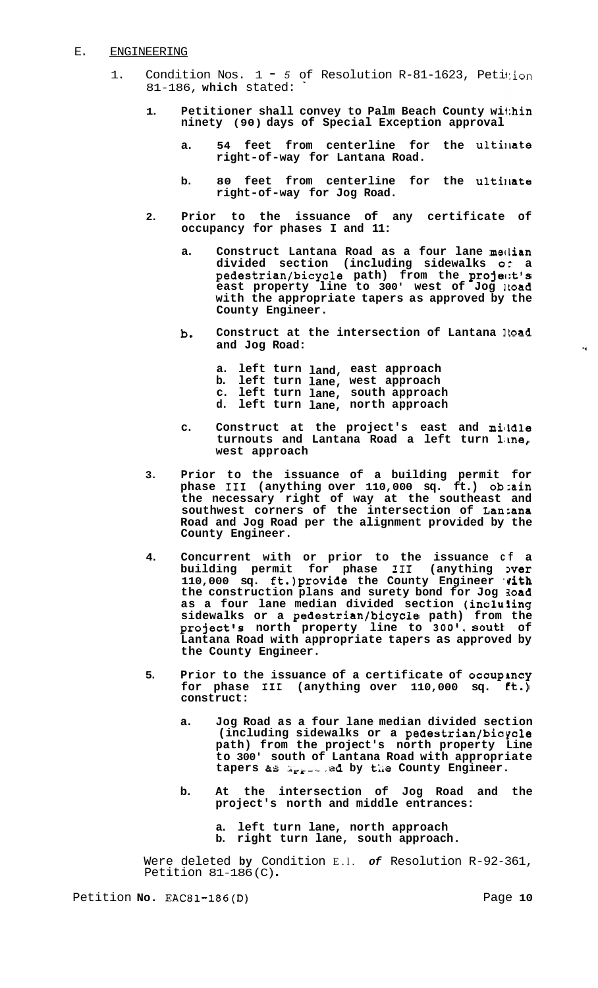#### E. ENGINEERING

- 1. Condition Nos. 1 5 of Resolution R-81-1623, Petition 81-186, **which** stated: <sup>~</sup>
	- **1. Petitioner shall convey to Palm Beach County wi <sup>1</sup>:hin ninety (90) days of Special Exception approval** 
		- **a. 54 feet from centerline for the ultiilate right-of-way for Lantana Road.**
		- **b. 80 feet from centerline for the ultillate right-of-way for Jog Road.**
	- **2. Prior to the issuance of any certificate of occupancy for phases I and 11:** 
		- **a. Construct Lantana Road as a four lane meclian divided section (including sidewalks of a pedestrian/bicycle path) from the proje(:t's east property line to 300' west of Jog ]Load with the appropriate tapers as approved by the County Engineer.**
		- **b. Construct at the intersection of Lantana ]Load and Jog Road:**

**a. left turn land, east approach b. left turn lane, west approach c. left turn lane, south approach d. left turn lane, north approach** 

- **c. Construct at the project's east and micldle turnouts and Lantana Road a left turn Lme, west approach**
- **3. Prior to the issuance of a building permit for phase I11 (anything over 110,000 sq. ft.) ob;ain the necessary right of way at the southeast and southwest corners of the intersection of Lan:ana Road and Jog Road per the alignment provided by the County Engineer.**
- **4. Concurrent with or prior to the issuance cf a building permit for phase I11 (anything >ver**  110,000 sq. ft.) provide the County Engineer with **the construction plans and surety bond for Jog goad as a four lane median divided section (incluling sidewalks or a pedestrian/bicycle path) from the project's north property line to** *300',* **soutl of Lantana Road with appropriate tapers as approved by the County Engineer.**
- **5. Prior to the issuance of a certificate of occupmcy for phase I11 (anything over 110,000 sq. Et.) construct:** 
	- **a. Jog Road as a four lane median divided section (including sidewalks or a pedestrian/bicycle path) from the project's north property Line to 300' south of Lantana Road with appropriate**  tapers as *irrested* by the County Engineer.
	- **b. At the intersection of Jog Road and the project's north and middle entrances:** 
		- **a. left turn lane, north approach b. right turn lane, south approach.**

Were deleted **by** Condition E.l. *of* Resolution R-92-361, Petition 81-186 (C) .

Petition **No.** EAC81-186(D) Petition **Page 10**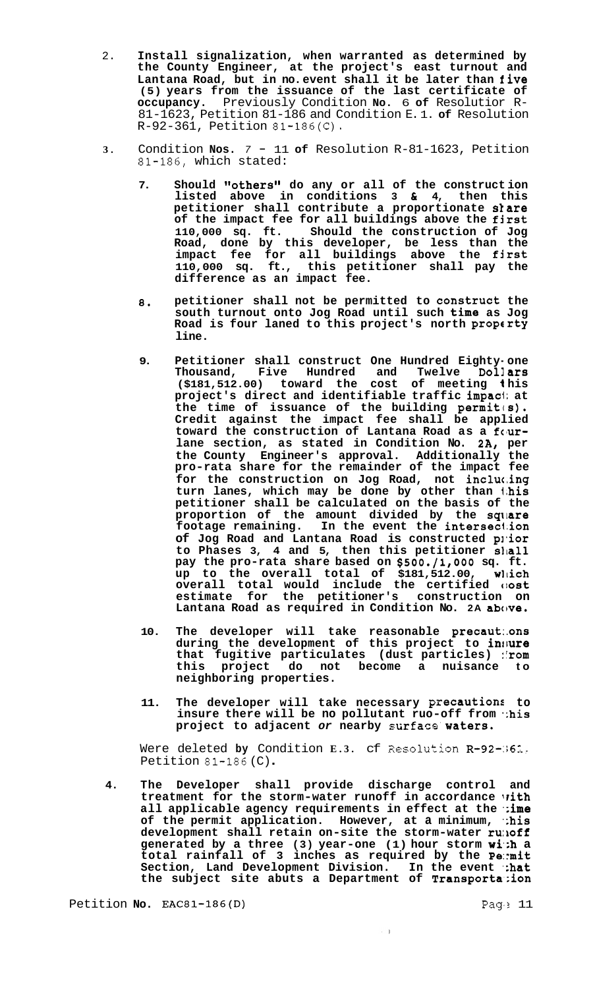- 2. **Install signalization, when warranted as determined by the County Engineer, at the project's east turnout and Lantana Road, but in no. event shall it be later than iive (5) years from the issuance of the last certificate of occupancy.** Previously Condition **No.** 6 **of** Resolutior R- 81-1623, Petition 81-186 and Condition E. 1. **of** Resolution R-92-361, Petition 81-186(C).
- **3.** Condition **Nos.** *7*  <sup>11</sup>**of** Resolution R-81-1623, Petition 81-186, which stated:
	- 7. Should "others" do any or all of the construct ion **listed above in conditions 3 61 4, then this petitioner shall contribute a proportionate slare of the impact fee for all buildings above the fjrst Road, done by this developer, be less than the impact fee for all buildings above the fjrst 110,000 sq. ft., this petitioner shall pay the difference as an impact fee. 110,000 sq. ft. Should the construction of Jog**
	- *8.* **petitioner shall not be permitted to Construct the south turnout onto Jog Road until such time as Jog Road is four laned to this project's north proparty line.**
	- **9. Petitioner shall construct One Hundred Eighty- one Thousand, Five Hundred and Twelve Dollars (\$181,512.00) toward the cost of meeting 1 his project's direct and identifiable traffic impaci: at**  the time of issuance of the building permit(s). **Credit against the impact fee shall be applied**  toward the construction of Lantana Road as a four**lane section, as stated in Condition No. 2A, per the County Engineer's approval. Additionally the pro-rata share for the remainder of the impact fee for the construction on Jog Road, not incluc,ing turn lanes, which may be done by other than l.his petitioner shall be calculated on the basis of the proportion of the amount divided by the sqllare footage remaining. In the event the intersecl.ion of Jog Road and Lantana Road is constructed pl-ior to Phases 3, 4 and 5, then this petitioner sllall pay the pro-rata share based on \$500./1,000 sq. ft. up to the overall total of \$181,512.00, wl~ich**   $over all total would include the certified cost$ **estimate for the petitioner's construction on Lantana Road as required in Condition No. 2A above.**
	- **10. The developer will take reasonable precaut:.ons during the development of this project to in!lure**  that fugitive particulates (dust particles) : rom **this project do not become a nuisance to neighboring properties.**
	- 11. The developer will take necessary precautions to insure there will be no pollutant ruo-off from *this* project to adjacent or nearby surface waters.

Were deleted by Condition E.3. cf Resolution R-92-361, Petition 81-186 (C) .

 $\sim$  1

**4. The Developer shall provide discharge control and**  treatment for the storm-water runoff in accordance *vith* all applicable agency requirements in effect at the :ine of the permit application. However, at a minimum, this **development shall retain on-site the storm-water ru:loff**  generated by a three (3) year-one (1) hour storm with a **total rainfall of 3 inches as required by the Pe::mit**  Section, Land Development Division. In the event :hat **the subject site abuts a Department of Transporta.:ion**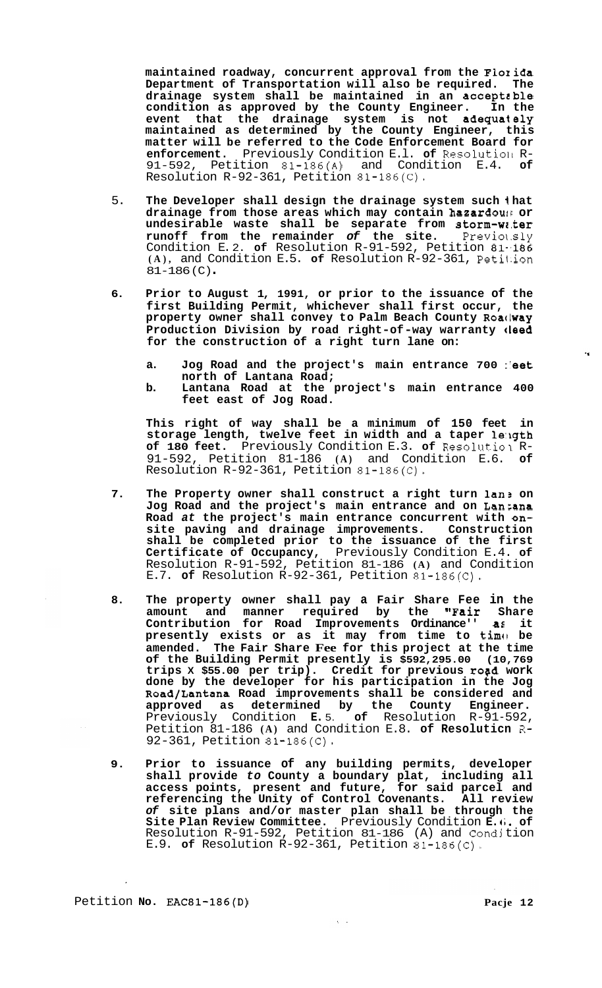**maintained roadway, concurrent approval from the Floxida Department of Transportation will also be required. The drainage system shall be maintained in an acceptable condition as approved by the County Engineer. In the event that the drainage system is not adequately maintained as determined by the County Engineer, this matter will be referred to the Code Enforcement Board for enforcement.** Previously Condition E.l. **of** Resolutioll R- 91-592, Petition 81-186(A) and Condition E.4. **of**  Resolution R-92-361, Petition 81-186(C).

- 5. **The Developer shall design the drainage system such I hat**  drainage from those areas which may contain hazardous or **undesirable waste shall be separate from storm-wz,ter runoff from the remainder** *of* **the site.** Previolsly Condition E. 2. **of** Resolution R-91-592, Petition 81-,186 **(A),** and Condition E.5. **of** Resolution R-92-361, Petii.ion 81-186 (C) .
- **6. Prior to August 1, 1991, or prior to the issuance of the first Building Permit, whichever shall first occur, the property owner shall convey to Palm Beach County Roaclway**  Production Division by road right-of-way warranty **(leed for the construction of a right turn lane on:** 
	- a. Jog Road and the project's main entrance 700 : eet **north of Lantana Road;**
	- **b. Lantana Road at the project's main entrance 400 feet east of Jog Road.**

**This right of way shall be a minimum of 150 feet in**  storage length, twelve feet in width and a taper length **of 180 feet.** Previously Condition E.3. **of** Resolutiol R- 91-592, Petition 81-186 **(A)** and Condition E.6. **of**  Resolution R-92-361, Petition 81-186(C).

- **7. The Property owner shall construct a right turn lans on Jog Road and the project's main entrance and on Lancana Road** *at* **the project's main entrance concurrent with onsite paving and drainage improvements. Construction shall be completed prior to the issuance of the first Certificate of Occupancy,** Previously Condition E.4. **of**  Resolution R-91-592, Petition 81-186 **(A)** and Condition E.7. **of** Resolution R-92-361, Petition 81-186(C).
- **8. The property owner shall pay a Fair Share Fee in the amount and manner required by the "Fair Share Contribution for Road Improvements Ordinance'' as it**  presently exists or as it may from time to time be **amended. The Fair Share Fee for this project at the time of the Building Permit presently is \$592,295.00 (10,769 trips X \$55.00 per trip). Credit for previous ro@d work done by the developer for his participation in the Jog Road/Lantana Road improvements shall be considered and approved as determined by the County Engineer.**  Previously Condition **E.** 5. **of** Resolution R-91-592, Petition 81-186 **(A)** and Condition E.8. **of Resoluticn** R-92-361, Petition 81-186(C).
- **9. Prior to issuance of any building permits, developer shall provide** *to* **County a boundary plat, including all access points, present and future, for said parcel and referencing the Unity of Control Covenants. All review**  *of* **site plans and/or master plan shall be through the Site Plan Review Committee.** Previously Condition **E.** (i. **of**  Resolution R-91-592, Petition 81-186 (A) and Condj tion E.9. **of** Resolution R-92-361, Petition 81-186(C).

 $\chi=1$ 

Petition **No.** EAC81-186(D) **Pacje 12** 

 $\mathbf{r}_\P$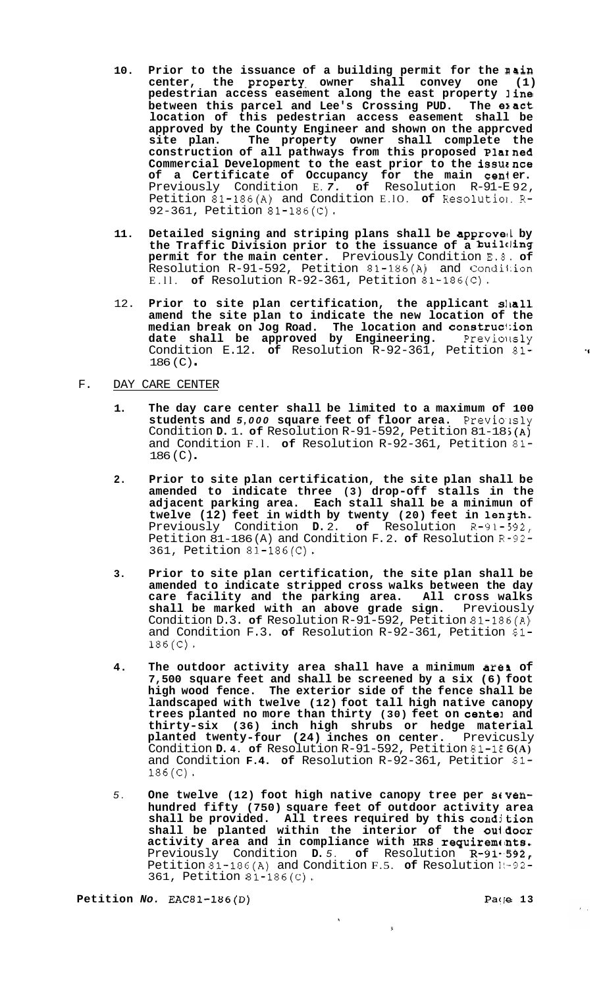- **10. Prior to the issuance of a building permit for the aain**  center, the property owner shall convey one (1) **pedestrian access easement along the east property line**  between this parcel and Lee's Crossing PUD. The e**xact location of this pedestrian access easement shall be approved by the County Engineer and shown on the apprcved site plan. The property owner shall complete the construction of all pathways from this proposed PlaIned Commercial Development to the east prior to the issurnce of a Certificate of Occupancy for the main ceni er.**  Previously Condition E. *7.* **of** Resolution R-91-E 92, Petition 81-186(A) and Condition E.lO. **of** Resolutior. R-92-361, Petition 81-186(C).
- **11. Detailed signing and striping plans shall be approve(\ by**  the Traffic Division prior to the issuance of a building **permit for the main center.** Previously Condition E.8, **of**  Resolution R-91-592, Petition 81-186(A) and Condi1.ion E.ll. **of** Resolution R-92-361, Petition 81-186(C).
- 12. **Prior to site plan certification, the applicant shall amend the site plan to indicate the new location of the median break on Jog Road. The location and construc4:ion**  date shall be approved by Engineering. Previously Condition E.12. **of** Resolution R-92-361, Petition 81- 186 (C) .
- F. DAY CARE CENTER
	- **1. The day care center shall be limited to a maximum of 100 students and** *5,000* **square feet of floor area.** Previo.lsly Condition **D.** 1. **of** Resolution R-91-592, Petition 81-18 ;(A) and Condition F.l. **of** Resolution R-92-361, Petition 81- 186 (C) .
	- **2. Prior to site plan certification, the site plan shall be amended to indicate three (3) drop-off stalls in the adjacent parking area. Each stall shall be a minimun of**  twelve (12) feet in width by twenty (20) feet in lenjth. Previously Condition **D.** 2. **of** Resolution R-91-592, Petition 81-186 (A) and Condition F. 2. **of** Resolution R-92- 361, Petition 81-186(C).
	- **3. Prior to site plan certification, the site plan shall be amended to indicate stripped cross walks between the day care facility and the parking area. All cross walks shall be marked with an above grade sign.** Previously Condition D.3. **of** Resolution R-91-592, Petition  $81 - 186(A)$ and Condition F.3. **of** Resolution R-92-361, Petition 81- 186(C).
	- **4. The outdoor activity area shall have a minimum area of 7,500 square feet and shall be screened by a six (6) foot high wood fence. The exterior side of the fence shall be landscaped with twelve (12) foot tall high native canopy trees planted no more than thirty (30) feet on centel and thirty-six (36) inch high shrubs or hedge material planted twenty-four (24) inches on center.** Previcusly Condition **D. 4. of** Resolution R-91-592, Petition 81-1€ 6 **(A)**  and Condition **F.4. of** Resolution R-92-361, Petitior 81- 186(C).
	- 5. One twelve (12) foot high native canopy tree per stven**hundred fifty (750) square feet of outdoor activity area shall be provided. All trees required by this condition shall be planted within the interior of the oul'door activity area and in compliance with** *HRS* **requiremmts.**  Previously Condition **D.** 5. of Resolution R-91-592, Petition 81-186(A) and Condition F.5. **of** Resolution 1:-92- 361, Petition 81-186(C).

 $\bar{V}$ 

**Petition** *No.* EAC81-186(D) **Page 13** 

 $\mathbf{z}^{(i)}$  ,

 $\mathcal{A}$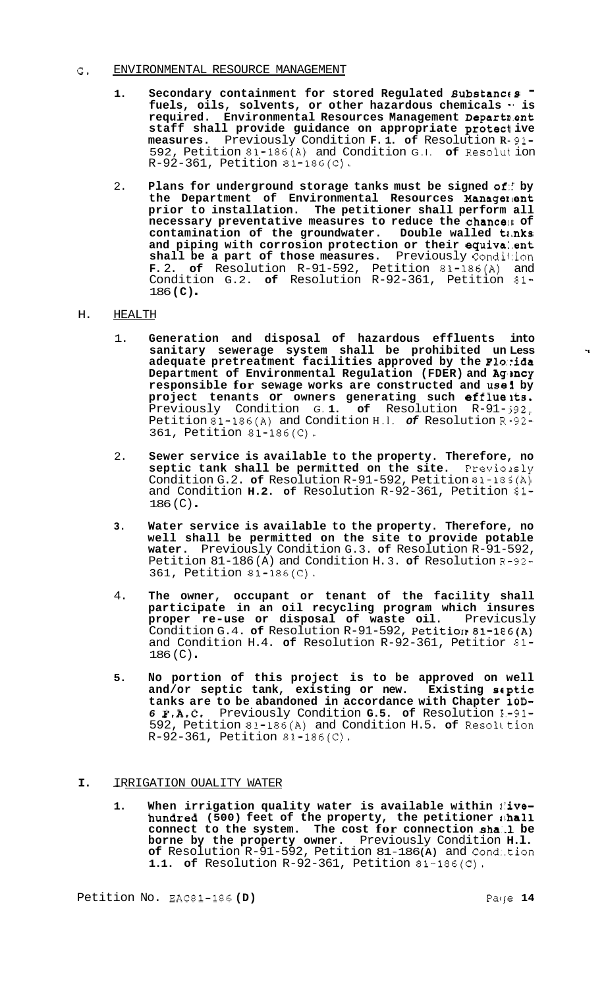#### G. ENVIRONMENTAL RESOURCE MANAGEMENT

- 1. Secondary containment for stored Regulated Substances fuels, oils, solvents, or other hazardous chemicals  $\cdot$  is required. Environmental Resources Management Department **staff shall provide guidance on appropriate protecl ive measures.** Previously Condition **F. 1. of** Resolution **R-** 91- 592, Petition 81-186(A) and Condition G.l. **of** Resolut ion R-92-361, Petition 81-186(C).
- 2. **Plans for underground storage tanks must be signed of:: by**  the Department of Environmental Resources Management **prior to installation. The petitioner shall perform all necessary preventative measures to reduce the chanceit of contamination of the groundwater. Double walled t4,nks and piping with corrosion protection or their equiva:.ent**  shall be a part of those measures. Previously Condition **F.** 2. **of** Resolution R-91-592, Petition 81-186(A) and Condition G.2. **of** Resolution R-92-361, Petition 81- <sup>186</sup>**(C)** .

## H. HEALTH

- 1. **Generation and disposal of hazardous effluents into sanitary sewerage system shall be prohibited un Less adequate pretreatment facilities approved by the F1o::ida Department of Environmental Regulation (FDER) and Ag'ancy responsible for sewage works are constructed and use1 by**  project tenants or owners generating such effluents. Previously Condition *G.* 1. of Resolution R-91-392, Petition 81-186(A) and Condition H.l. *of* Resolution R-92- 361, Petition 81-186(C).
- 2. **Sewer service is available to the property. Therefore, no septic tank shall be permitted on the site.** Previolsly Condition G.2. **of** Resolution R-91-592, Petition 81-185(A) and Condition **H.2. of** Resolution R-92-361, Petition 81- 186 (C) .
- **3. Water service is available to the property. Therefore, no well shall be permitted on the site to provide potable water.** Previously Condition G.3. **of** Resolution R-91-592, Petition 81-186 (A) and Condition H. 3. **of** Resolution R-92- 361, Petition 81-186(C).
- 4. **The owner, occupant or tenant of the facility shall participate in an oil recycling program which insures proper re-use or disposal of waste oil.** Previcusly Condition G.4. of Resolution R-91-592, Petition 81-186(A) and Condition H.4. **of** Resolution R-92-361, Petitior 81- 186 (C) .
- **5. No portion of this project is to be approved on well and/or septic tank, existing or new. Existing septic tanks are to be abandoned in accordance with Chapter 10D-***6* **F.A.C.** Previously Condition **G.5. of** Resolution I-91- 592, Petition 81-186(A) and Condition H.5. **of** Resolttion  $R-92-361$ , Petition  $81-186(C)$ .

#### **I.** IRRIGATION OUALITY WATER

1. When irrigation quality water is available within *live*hundred (500) feet of the property, the petitioner #hall **connect to the system. The cost for connection sha'.l be borne by the property owner.** Previously Condition **H.l. of** Resolution R-91-592, Petition 81-186 **(A)** and Cond..tion **1.1. of** Resolution R-92-361, Petition 81-186(C).

 $\mathbf{r}_\mathbf{t}$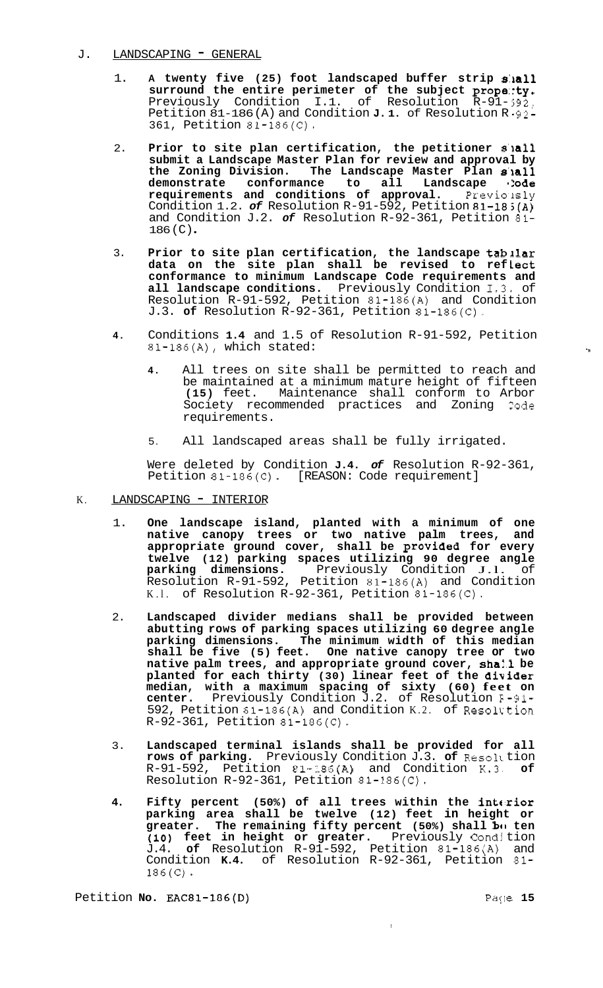## J. LANDSCAPING " GENERAL

- 1. **A twenty five (25) foot landscaped buffer strip s:la11 surround the entire perimeter of the subject prope:?ty.**  Previously Condition I.1. of Resolution  $R-91-392$ , Petition 81-186 (A) and Condition **J. 1.** of Resolution R -92- 361, Petition 81-186(C).
- 2. **Prior to site plan certification, the petitioner s'lall submit a Landscape Master Plan for review and approval by the Zoning Division. The Landscape Master Plan 8'1a11 demonstrate conformance to all Landscape (:ode requirements and conditions of approval.** Previolsly Condition 1.2. *of* Resolution R-91-592, Petition 81-18j(A) and Condition J.2. of Resolution R-92-361, Petition 81- $186 (C)$ .
- 3. **Prior to site plan certification, the landscape tabllar data on the site plan shall be revised to ref Lect conformance to minimum Landscape Code requirements and all landscape conditions.** Previously Condition 1.3. of Resolution R-91-592, Petition 81-186(A) and Condition J.3. **of** Resolution R-92-361, Petition 81-186(C).
- **4.** Conditions **1.4** and 1.5 of Resolution R-91-592, Petition 81-186(A), which stated:
	- **4.** All trees on site shall be permitted to reach and be maintained at a minimum mature height of fifteen **(15)** feet. Maintenance shall conform to Arbor Society recommended practices and Zoning 2ode requirements.
	- 5. All landscaped areas shall be fully irrigated.

Were deleted by Condition **J.4.** *of* Resolution R-92-361, Petition 81-186(C). [REASON: Code requirement]

- K. LANDSCAPING - INTERIOR
	- 1. **One landscape island, planted with a minimum of one native canopy trees or two native palm trees, and appropriate ground cover, shall be provided for every twelve (12) parking spaces utilizing 90 degree angle parking dimensions.** Previously Condition J.l. of Resolution R-91-592, Petition 81-186(A) and Condition K.l. of Resolution R-92-361, Petition 81-186(C).
	- 2. **Landscaped divider medians shall be provided between abutting rows of parking spaces utilizing 60 degree angle parking dimensions. The minimum width of this median shall be five (5) feet. One native canopy tree or two native palm trees, and appropriate ground cover, shal.1 be planted for each thirty (30) linear feet of the divider median, with a maximum spacing of sixty (60) feet on center.** Previously Condition J.2. of Resolution **F-91-**  592, Petition 81-186(A) and Condition K.2. of Resolction R-92-361, Petition 81-186(C).
	- 3. **Landscaped terminal islands shall be provided for all rows of parking.** Previously Condition J.3. **of** Resolt tion R-91-592, Petition *PI-:-3-5(PA)* and Condition **K.3. of**  Resolution R-92-361, Petition 81-186(C).
	- **4.** Fifty percent (50%) of all trees within the interior **parking area shall be twelve (12) feet in height or**  greater. The remaining fifty percent (50%) shall **b**<sup>0</sup> ten **(10) feet in height or greater.** Previously Condition J.4. **of** Resolution R-91-592, Petition 81-186(A) and Condition **K.4.** of Resolution R-92-361, Petition 81-  $186(C)$ .

 $\mathbf{I}$ 

Petition **No. EAC81-186(D)** Pacific **Pacific Pacific Pacific Pacific Pacific Pacific Pacific Pacific Pacific Pacific Pacific Pacific Pacific Pacific Pacific Pacific Pacific Pacific Pacific Pacific Pacific Pacific Pacific P**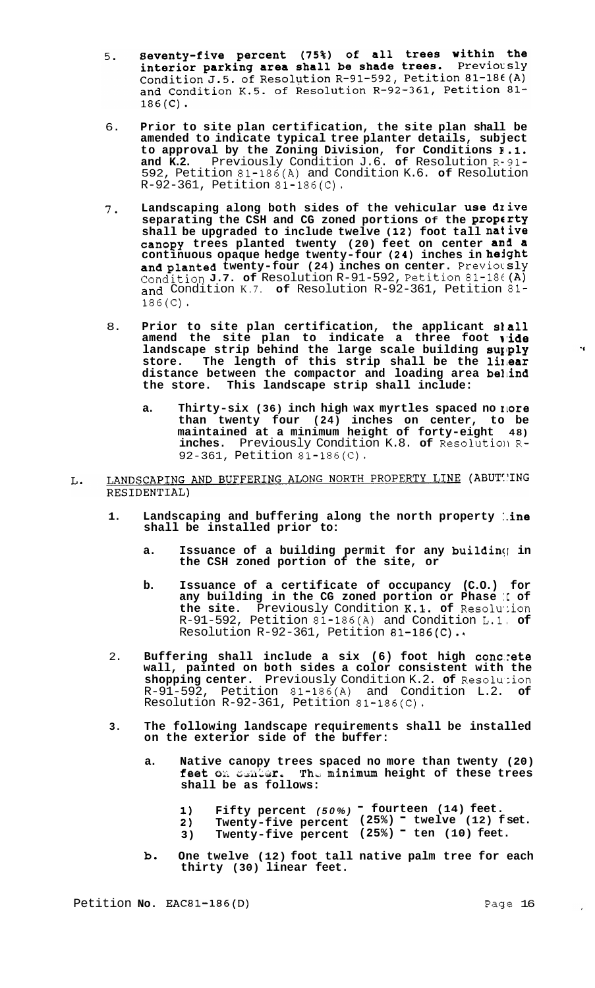- Seventy-five percent (75%) of all trees within the<br>interior parking area shall be shade trees. Previously<br>Condition J.5. of Resolution R-91-592, Petition 81-186(A)  $5.$ and Condition K.5. of Resolution R-92-361, Petition 81- $186(C)$ .
- 6. **Prior to site plan certification, the site plan shall be amended to indicate typical tree planter details, subject to approval by the Zoning Division, for Conditions 1.1. and K.2.** Previously Condition J.6. **of** Resolution R-91- 592, Petition 81-186(A) and Condition K.6. **of** Resolution R-92-361, Petition 81-186(C).
- *7.* **Landscaping along both sides of the vehicular US8 drive separating the CSH and CG zoned portions Of the Property shall be upgraded to include twelve (12) foot tall native canopy trees planted twenty (20) feet on center and a continuous opaque hedge twenty-four (24) inches in hel ght and planted twenty-four (24) inches on center.** Previot Sly Condition **J.7. of** Resolution R-91-592, Petition 81-186 (A) and Condition K.7. **of** Resolution R-92-361, Petition 81- 186(C).
- 8. **Prior to site plan certification, the applicant sI.al1 amend the site plan to indicate a three foot vide** landscape strip behind the large scale building suyply **store. The length of this strip shall be the 1i1,ear**  distance between the compactor and loading area beldnd **the store. This landscape strip shall include:** 
	- **a.** Thirty-six (36) inch high wax myrtles spaced no Nore **than twenty four (24) inches on center, to be maintained at a minimum height of forty-eight 48) inches.** Previously Condition K.8. **of** Resolutioll R-92-361, Petition 81-186(C).
- LANDSCAPING AND BUFFERING ALONG NORTH PROPERTY LINE (ABUTWING L. RESIDENTIAL)
	- **1. Landscaping and buffering along the north property :.he shall be installed prior to:** 
		- a. Issuance of a building permit for any building in **the CSH zoned portion of the site, or**
		- **b. Issuance of a certificate of occupancy (C.O.) for any building in the CG zoned portion or Phase** :t **of the site.** Previously Condition **K.I. of** Resolu.:ion R-91-592, Petition 81-186(A) and Condition L.1, **of**  Resolution R-92-361, Petition  $81-186(C)$ .
	- 2. Buffering shall include a six (6) foot high concrete **wall, painted on both sides a color consistent with the shopping center.** Previously Condition K.2. **of** Resoluzion R-91-592, Petition 81-186(A) and Condition L.2. **of**  Resolution R-92-361, Petition 81-186(C).
	- **3. The following landscape requirements shall be installed on the exterior side of the buffer:** 
		- **a. Native canopy trees spaced no more than twenty (20) feet** on center. The minimum height of these trees **shall be as follows:** 
			- **1) Fifty percent** *(50%)*  **fourteen (14) feet.**
			- **2) Twenty-five percent (25%) twelve (12) f set.**  2) Twenty-five percent (25%) twelve (12) is<del>e</del><br>3) Twenty-five percent (25%) <sup>=</sup> ten (10) feet.
			-
		- **b. One twelve (12) foot tall native palm tree for each thirty (30) linear feet.**

 $\mathcal{A}^{\mathcal{A}}$ 

 $\mathcal{M}$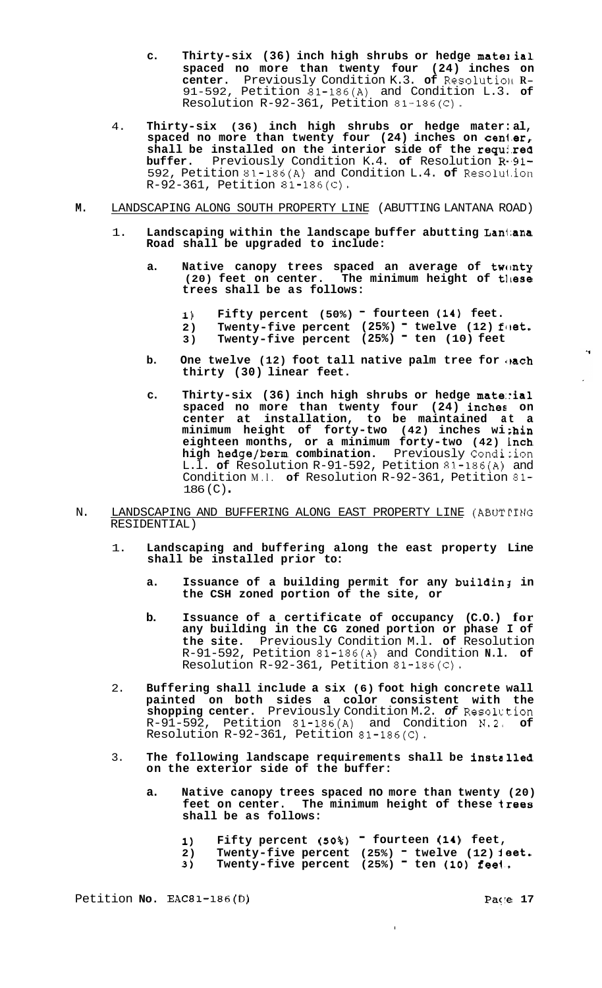- c. Thirty-six (36) inch high shrubs or hedge material **spaced no more than twenty four (24) inches on center.** Previously Condition K.3. **of** Resolution **R-**91-592, Petition 81-186(A) and Condition L.3. **of**  Resolution R-92-361, Petition 81-186(C).
- 4. **Thirty-six (36) inch high shrubs or hedge mater: al,**  spaced no more than twenty four (24) inches on cenier, shall be installed on the interior side of the required **buffer.** Previously Condition K.4. of Resolution R.91-592, Petition 81-186(A) and Condition L.4. **of** Resolu1.ion R-92-361, Petition 81-186(C).
- **M.** LANDSCAPING ALONG SOUTH PROPERTY LINE (ABUTTING LANTANA ROAD)
	- 1. **Landscaping within the landscape buffer abutting Laniiana Road shall be upgraded to include:** 
		- a. Native canopy trees spaced an average of twonty (20) feet on center. The minimum height of these **trees shall be as follows:** 
			- **I) Fifty percent (50%) fourteen (14) feet.**
			- **2) Twenty-five percent (25%) twelve (12) foet.**
			- **3) Twenty-five percent (25%) ten (10) feet**
		- **b.** One twelve (12) foot tall native palm tree for  $\theta$ ach **thirty (30) linear feet.**
		- **c. Thirty-six (36) inch high shrubs or hedge mate::ial spaced no more than twenty four (24) inches on center at installation, to be maintained at a minimum height of forty-two (42) inches wi :hin eighteen months, or a minimum forty-two (42) Lnch high hedge/berm combination.** Previously Condizion L.l. **of** Resolution R-91-592, Petition 81-186(A) and Condition M.l. **of** Resolution R-92-361, Petition 81-  $186 (C)$ .
- N. LANDSCAPING AND BUFFERING ALONG EAST PROPERTY LINE (ABUTING RESIDENTIAL)
	- 1. **Landscaping and buffering along the east property Line shall be installed prior to:** 
		- a. Issuance of a building permit for any buildin; in **the CSH zoned portion of the site, or**
		- **b. Issuance of a certificate of occupancy (C.O.) for any building in the CG zoned portion or phase I of the site.** Previously Condition M.l. **of** Resolution R-91-592, Petition 81-186(A) and Condition **N.l. of**  Resolution R-92-361, Petition 81-186(C).
	- 2. **Buffering shall include a six (6) foot high concrete wall painted on both sides a color consistent with the**  shopping center. Previously Condition M.2. of Resolution R-91-592, Petition 81-186(A) and Condition N.2, **of**  Resolution R-92-361, Petition 81-186(C).
	- 3. **The following landscape requirements shall be installed on the exterior side of the buffer:** 
		- **a. Native canopy trees spaced no more than twenty (20) feet on center. The minimum height of these trees shall be as follows:** 
			- **1) Fifty percent (50%) fourteen (14) feet,**
			- **2) Twenty-five percent (25%) twelve (12) leet. 3) Twenty-five percent (25%)** - **ten (lo) feel..**

I

Petition **No.** EAC81-186(D)

 $\mathbf{r}_{\mathbf{S}}$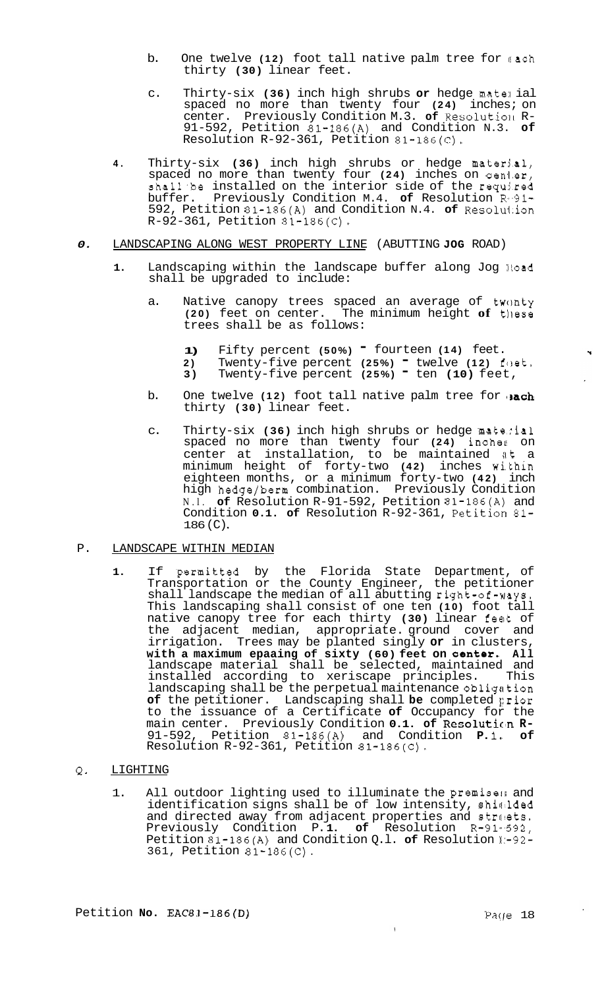- b. One twelve (12) foot tall native palm tree for  $*\infty$ h thirty **(30)** linear feet.
- c. Thirty-six (36) inch high shrubs or hedge mate: ial spaced no more than twenty four (24) inches; on center. Previously Condition M.3. of Resolution Rcenter. Previously Condition M.3. **of** Resolution R-<br>91-592, Petition 81-186(A) and Condition N.3. **of** Resolution R-92-361, Petition 81-186(C).
- **4.** Thirty-six **(36)** inch high shrubs or hedge material, spaced no more than twenty four (24) inches on center, shall'be installed on the interior side of the requhed buffer. Previously Condition M.4. **of** Resolution R.m.91- 592, Petition 81-186(A) and Condition N.4. **of** Resolui.ion R-92-361, Petition 81-186(C).

## *0.* LANDSCAPING ALONG WEST PROPERTY LINE (ABUTTING **JOG** ROAD)

- 1. Landscaping within the landscape buffer along Jog 10ad shall be upgraded to include:
	- a. Native canopy trees spaced an average of twonty **(20)** feet on center. The minimum height **of** tlkese trees shall be as follows:
		- **1)** Fifty percent **(50%)**  fourteen **(14)** feet.
		- **2)** Filty percent (50%) a Lourteen (14) leet.<br>2) Twenty-five percent (25%) <sup>-</sup> twelve (12) foot. **3)** Twenty-five percent **(25%)** - ten **(10)** feet,
	- b. One twelve (12) foot tall native palm tree for **ach** thirty **(30)** linear feet.
	- c. Thirty-six **(36)** inch high shrubs or hedge material spaced no more than twenty four (24) inches on center at installation, to be maintained at a minimum height of forty-two **(42)** inches wi.thin eighteen months, or a minimum forty-two **(42)** inch high hedge/berm combination. Previously Condition N.l. **of** Resolution R-91-592, Petition 81-186(A) and Condition 0.1. of Resolution R-92-361, Petition 81-186 (C).

## P. LANDSCAPE WITHIN MEDIAN

**1.** If permittea by the Florida State Department, of Transportation or the County Engineer, the petitioner shall landscape the median of all abutting right-of-ways. This landscaping shall consist of one ten **(10)** foot tall native canopy tree for each thirty **(30)** linear **feelt** of the adjacent median, appropriate. ground cover and irrigation. Trees may be planted singly **or** in clusters, **with a maximum epaaing of sixty (60) feet on oenter. All**  landscape material shall be selected, maintained and installed according to xeriscape principles. This landscaping shall be the perpetual maintenance obligation **of** the petitioner. Landscaping shall **be** completed grior to the issuance of a Certificate **of** Occupancy for the main center. Previously Condition 0.1. of **Resolution R-** 91-592, Petition 81-186(A) and Condition **P.1.** of Resolution  $R-92-361$ , Petition  $81-186$  (C).

## *Q* LIGHTING

1. All outdoor lighting used to illuminate the premisen and identification signs shall be of low intensity, shimided and directed away from adjacent properties and streets. Previously Condition P. **1. of** Resolution R-91.m.592, Petition 81-186(A) and Condition Q.l. of Resolution N:-92-361, Petition  $81 - 186(C)$ .

 $\bar{V}$ 

 $\mathcal{A}$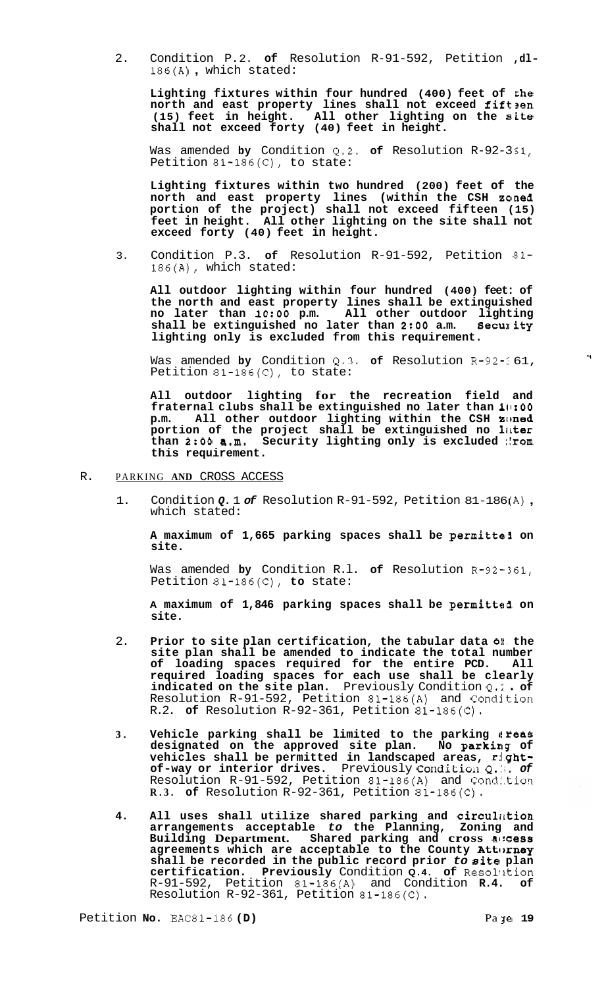2. Condition P. 2. **of** Resolution R-91-592, Petition **,dl-**186(A) , which stated:

**Lighting fixtures within four hundred (400) feet of the north and east property lines shall not exceed fift.3en (15) feet in height. All other lighting on the s.ite shall not exceed forty (40) feet in height.** 

Was amended by Condition Q.2. of Resolution R-92-351, Petition 81-186(C), to state:

**Lighting fixtures within two hundred (200) feet of the north and east property lines (within the CSH zoned portion of the project) shall not exceed fifteen (15) feet in height. All other lighting on the site shall not exceed forty (40) feet in height.** 

3. Condition P.3. **of** Resolution R-91-592, Petition 81- 186(A), which stated:

**All outdoor lighting within four hundred (400) feet: of the north and east property lines shall be extinguished no later than 1O:OO p.m. All other outdoor lighting**  shall be extinguished no later than 2:00 a.m. Seculity **lighting only is excluded from this requirement.** 

Was amended by Condition Q.3. of Resolution R-92-: 61, Petition 81-186(C), to state:

**All outdoor lighting for the recreation field and fraternal clubs shall be extinguished no later than 1(1:00 p.m. All other outdoor lighting within the CSH z'oned portion of the project shall be extinguished no lilter than 2:OO a.m. Security lighting only is excluded :irom this requirement.** 

- R. PARKING **AND** CROSS ACCESS
	- 1. Condition *Q.* 1 *of* Resolution R-91-592, Petition 81-186 **(A)** , which stated:

**A maximum of 1,665 parking spaces shall be permittal on site.** 

Was amended **by** Condition R.l. **of** Resolution R-92-361, Petition 81-186(C), **to** state:

A maximum of 1,846 parking spaces shall be permitted on **site.** 

- 2. **Prior to site plan certification, the tabular data 011. the site plan shall be amended to indicate the total number of loading spaces required for the entire PCD. All required loading spaces for each use shall be clearly indicated on the site plan.** Previously Condition Q.:; . **of**  Resolution R-91-592, Petition 81-186(A) and Condition R.2. **of** Resolution R-92-361, Petition 81-186(C).
- **3. Vehicle parking shall be limited to the parking #reas designated on the approved site plan. No parking of vehicles shall be permitted in landscaped areas, right-**<br>**of-way or interior drives.** Previously Condition Q. :.. *of* Resolution  $R-91-592$ , Petition  $81-186(A)$  and Condition **R.3. of** Resolution R-92-361, Petition 81-186(C).
- **4. All uses shall utilize shared parking and circullrtion arrangements acceptable** *to* **the Planning, Zoning and Building Department.** Shared parking and **cross a**CCESS **agreements which are acceptable to the County Attorney shall be recorded in the public record prior** *to* **site plan certification. Previously** Condition **Q.4. of** Resollition R-91-592, Petition 81-186(A) and Condition **R.4. of**  Resolution R-92-361, Petition 81-186(C).

 $\mathbf{H}$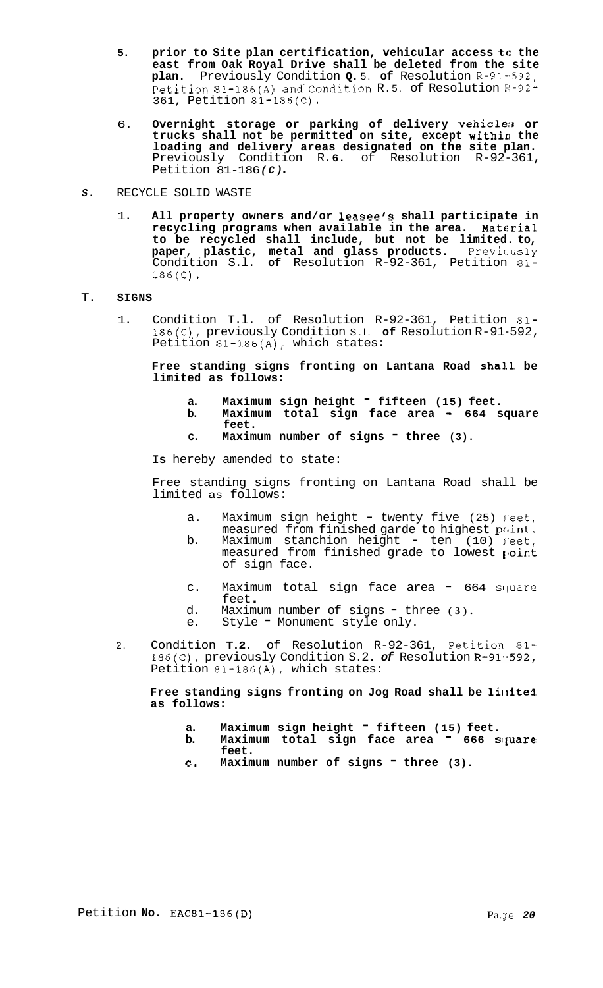- 5. prior to Site plan certification, vehicular access to the **east from Oak Royal Drive shall be deleted from the site plan.** Previously Condition **Q.** 5. **of** Resolution R-91-592, Petition  $81-186(A)$  and Condition R.5. of Resolution  $R-92-$ 361, Petition 81-186(C).
- 6. Overnight storage or parking of delivery vehicles or **trucks shall not be permitted on site, except withim the loading and delivery areas designated on the site plan.**  Previously Condition R. **6.** of Resolution R-92-361, Petition 81-186 *(C)* .
- *S.*  RECYCLE SOLID WASTE
	- 1. **All property owners and/or leasee's shall participate in recycling programs when available in the area. Material to be recycled shall include, but not be limited. to, paper, plastic, metal and glass products.** Previcusly Condition S.l. **of** Resolution R-92-361, Petition 81- 186(C).

## T. **SIGNS**

1. Condition T.l. of Resolution R-92-361, Petition 81- 186(C), previously Condition S.l. **of** Resolution R-91-592, Petition 81-186(A), which states:

**Free standing signs fronting on Lantana Road shal.1 be limited as follows:** 

- **a. Maximum sign height fifteen (15) feet.**
- **b. Maximum total sign face area 664 square feet.**
- **c. Maximum number of signs three (3).**

**Is** hereby amended to state:

Free standing signs fronting on Lantana Road shall be limited as follows:

- a. Maximum sign height twenty five  $(25)$  feet, measured from finished garde to highest  $point.$
- measured from finished garde to ingliest point.<br>b. Maximum stanchion height ten (10) feet, measured from finished grade to lowest point of sign face.
- c. Maximum total sign face area  $= 664$  square feet .
- d. Maximum number of signs three **(3).**
- Style Monument style only.
- 2. Condition **T.2.** of Resolution R-92-361, Petition 81- **186(C),** previously Condition S.2. *of* Resolution R-91.-592, Petition 81-186(A), which states:

Free standing signs fronting on Jog Road shall be limited **as follows:** 

- 
- **a.** Maximum sign height <sup>-</sup> fifteen (15) feet.<br>**b.** Maximum total sign face area <sup>-</sup> 666 square Maximum total sign face area <sup>-</sup> **feet.**
- *6.* **Maximum number of signs three (3).**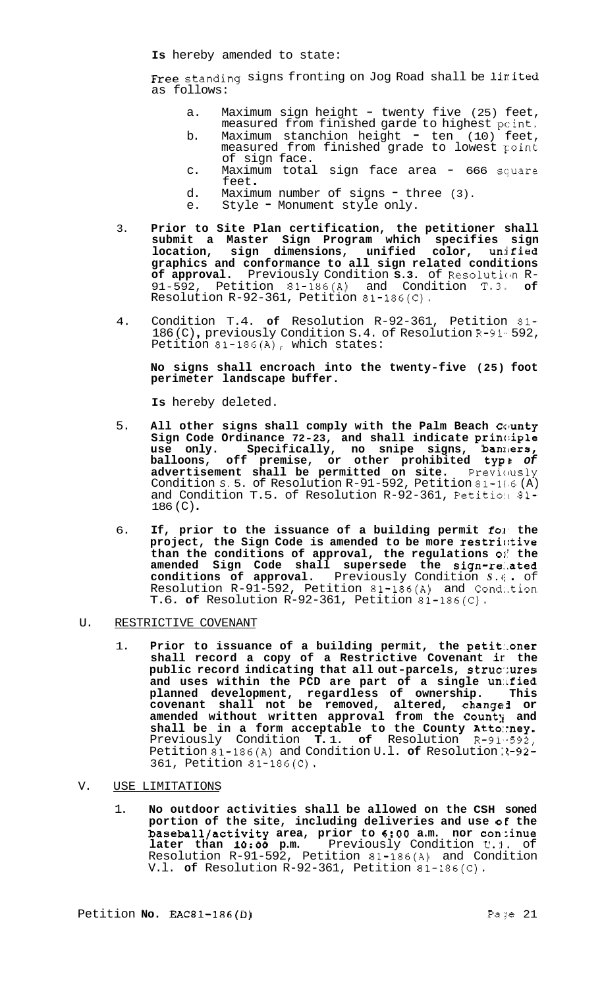Free standing signs fronting on Jog Road shall be limited as follows:

- a. Maximum sign height twenty five (25) feet, measured from finished garde to highest pcint.
- b. Maximum stanchion height  $=$  ten (10) feet,
	- measured from finished grade to lowest point of sign face.
- c. Maximum total sign face area 666 square<br>feet.
- d. Maximum number of signs three (3).
- e. Style Monument style only.
- 3. **Prior to Site Plan certification, the petitioner shall submit a Master Sign Program which specifies sign location, sign dimensions, unified color, unified graphics and conformance to all sign related conditions of approval.** Previously Condition **s.3.** of Resolution R-<br>91-592, Petition 81-186(A) and Condition T.3, of Resolution R-92-361, Petition 81-186(C).
- 4. Condition T.4. **of** Resolution R-92-361, Petition 81- 186 (C) , previously Condition S. 4. of Resolution R-91- 592, Petition 81-186(A), which states:

**No signs shall encroach into the twenty-five (25) foot perimeter landscape buffer.** 

**Is** hereby deleted.

- 5. All other signs shall comply with the Palm Beach County Sign Code Ordinance 72-23, and shall indicate prindiple **use only. Specifically, no snipe signs, ban:llers, balloons, off premise, or other prohibited typs** *of*  **advertisement shall be permitted on site.** Previously Condition *S.* 5. of Resolution R-91-592, Petition 81-166 (A) and Condition T.5. of Resolution R-92-361, Petition 81-186 (C).
- 6. **If, prior to the issuance of a building permit for the project, the Sign Code is amended to be more restric:tive than the conditions of approval, the regulations** oli **the amended Sign Code shall supersede the sign-re:.ated conditions of approval.** Previously Condition *S.* **ci** . of Resolution R-91-592, Petition 81-186(A) and Cond:.tion T.6. **of** Resolution R-92-361, Petition 81-186(C).
- U. RESTRICTIVE COVENANT
	- 1. **Prior to issuance of a building permit, the petit:.oner shall record a copy of a Restrictive Covenant il: the public record indicating that all out-parcels, struc'xres**  and uses within the PCD are part of a single unified **planned development, regardless of ownership. This**  covenant shall not be removed, altered, changed or amended without written approval from the County and **shall be in a form acceptable to the County Atto::ney.**  Previously Condition **T.** 1. **of** Resolution R-91,-592, Petition 81-186(A) and Condition U.l. of Resolution  $-92-$ 361, Petition 81-186(C).
- V. USE LIMITATIONS
	- 1. **No outdoor activities shall be allowed on the CSH soned portion of the site, including deliveries and use of the baseball/activity area, prior to 6:OO a.m. nor con:inue**  later than 10:00 p.m. Previously Condition U.1. of Resolution R-91-592, Petition 81-186(A) and Condition V.l. **of** Resolution R-92-361, Petition 81-186(C).